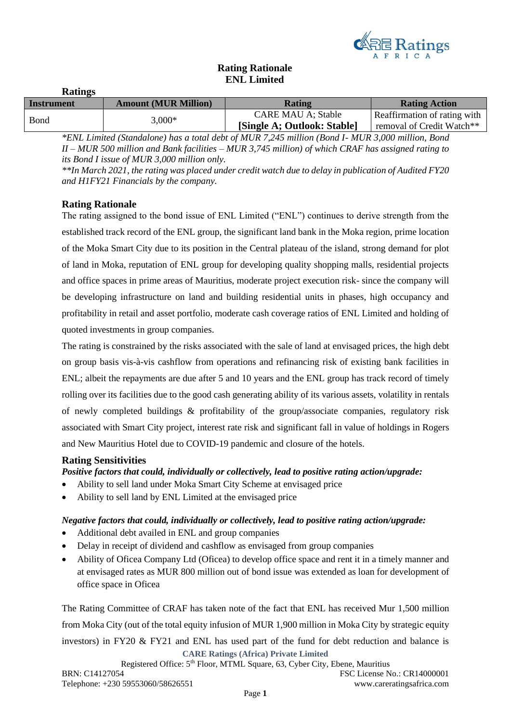

## **Rating Rationale ENL Limited**

| <b>Ratings</b> |                             |                             |                              |
|----------------|-----------------------------|-----------------------------|------------------------------|
| Instrument     | <b>Amount (MUR Million)</b> | <b>Rating</b>               | <b>Rating Action</b>         |
|                |                             | <b>CARE MAU A; Stable</b>   | Reaffirmation of rating with |
| Bond           | $3,000*$                    | [Single A; Outlook: Stable] | removal of Credit Watch**    |

*\*ENL Limited (Standalone) has a total debt of MUR 7,245 million (Bond I- MUR 3,000 million, Bond II – MUR 500 million and Bank facilities – MUR 3,745 million) of which CRAF has assigned rating to its Bond I issue of MUR 3,000 million only.* 

*\*\*In March 2021, the rating was placed under credit watch due to delay in publication of Audited FY20 and H1FY21 Financials by the company.*

## **Rating Rationale**

The rating assigned to the bond issue of ENL Limited ("ENL") continues to derive strength from the established track record of the ENL group, the significant land bank in the Moka region, prime location of the Moka Smart City due to its position in the Central plateau of the island, strong demand for plot of land in Moka, reputation of ENL group for developing quality shopping malls, residential projects and office spaces in prime areas of Mauritius, moderate project execution risk- since the company will be developing infrastructure on land and building residential units in phases, high occupancy and profitability in retail and asset portfolio, moderate cash coverage ratios of ENL Limited and holding of quoted investments in group companies.

The rating is constrained by the risks associated with the sale of land at envisaged prices, the high debt on group basis vis-à-vis cashflow from operations and refinancing risk of existing bank facilities in ENL; albeit the repayments are due after 5 and 10 years and the ENL group has track record of timely rolling over its facilities due to the good cash generating ability of its various assets, volatility in rentals of newly completed buildings & profitability of the group/associate companies, regulatory risk associated with Smart City project, interest rate risk and significant fall in value of holdings in Rogers and New Mauritius Hotel due to COVID-19 pandemic and closure of the hotels.

## **Rating Sensitivities**

*Positive factors that could, individually or collectively, lead to positive rating action/upgrade:*

- Ability to sell land under Moka Smart City Scheme at envisaged price
- Ability to sell land by ENL Limited at the envisaged price

## *Negative factors that could, individually or collectively, lead to positive rating action/upgrade:*

- Additional debt availed in ENL and group companies
- Delay in receipt of dividend and cashflow as envisaged from group companies
- Ability of Oficea Company Ltd (Oficea) to develop office space and rent it in a timely manner and at envisaged rates as MUR 800 million out of bond issue was extended as loan for development of office space in Oficea

**CARE Ratings (Africa) Private Limited** Registered Office: 5<sup>th</sup> Floor, MTML Square, 63, Cyber City, Ebene, Mauritius The Rating Committee of CRAF has taken note of the fact that ENL has received Mur 1,500 million from Moka City (out of the total equity infusion of MUR 1,900 million in Moka City by strategic equity investors) in FY20  $\&$  FY21 and ENL has used part of the fund for debt reduction and balance is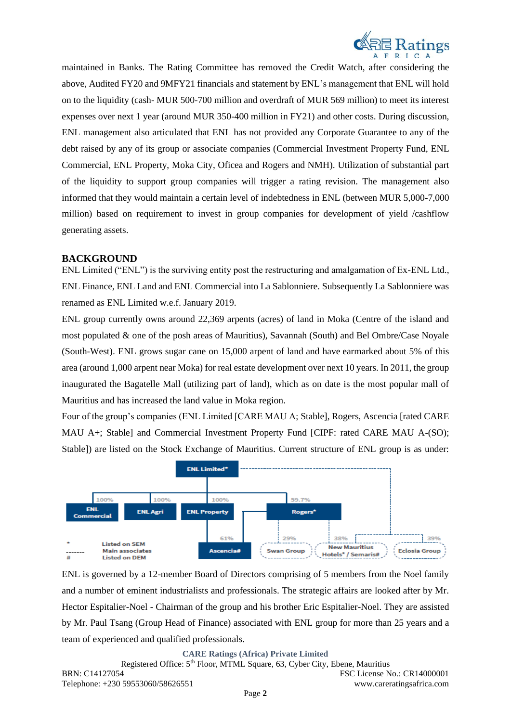

maintained in Banks. The Rating Committee has removed the Credit Watch, after considering the above, Audited FY20 and 9MFY21 financials and statement by ENL's management that ENL will hold on to the liquidity (cash- MUR 500-700 million and overdraft of MUR 569 million) to meet its interest expenses over next 1 year (around MUR 350-400 million in FY21) and other costs. During discussion, ENL management also articulated that ENL has not provided any Corporate Guarantee to any of the debt raised by any of its group or associate companies (Commercial Investment Property Fund, ENL Commercial, ENL Property, Moka City, Oficea and Rogers and NMH). Utilization of substantial part of the liquidity to support group companies will trigger a rating revision. The management also informed that they would maintain a certain level of indebtedness in ENL (between MUR 5,000-7,000 million) based on requirement to invest in group companies for development of yield /cashflow generating assets.

## **BACKGROUND**

ENL Limited ("ENL") is the surviving entity post the restructuring and amalgamation of Ex-ENL Ltd., ENL Finance, ENL Land and ENL Commercial into La Sablonniere. Subsequently La Sablonniere was renamed as ENL Limited w.e.f. January 2019.

ENL group currently owns around 22,369 arpents (acres) of land in Moka (Centre of the island and most populated & one of the posh areas of Mauritius), Savannah (South) and Bel Ombre/Case Noyale (South-West). ENL grows sugar cane on 15,000 arpent of land and have earmarked about 5% of this area (around 1,000 arpent near Moka) for real estate development over next 10 years. In 2011, the group inaugurated the Bagatelle Mall (utilizing part of land), which as on date is the most popular mall of Mauritius and has increased the land value in Moka region.

Four of the group's companies (ENL Limited [CARE MAU A; Stable], Rogers, Ascencia [rated CARE MAU A+; Stable] and Commercial Investment Property Fund [CIPF: rated CARE MAU A-(SO); Stable]) are listed on the Stock Exchange of Mauritius. Current structure of ENL group is as under:



ENL is governed by a 12-member Board of Directors comprising of 5 members from the Noel family and a number of eminent industrialists and professionals. The strategic affairs are looked after by Mr. Hector Espitalier-Noel - Chairman of the group and his brother Eric Espitalier-Noel. They are assisted by Mr. Paul Tsang (Group Head of Finance) associated with ENL group for more than 25 years and a team of experienced and qualified professionals.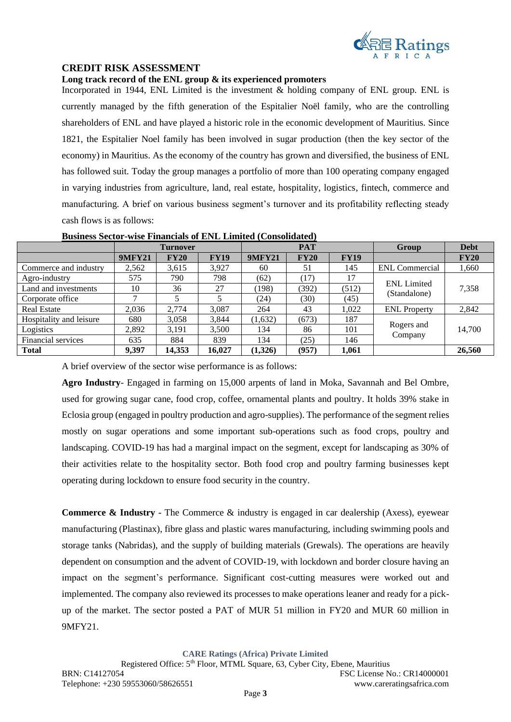

## **CREDIT RISK ASSESSMENT**

#### **Long track record of the ENL group & its experienced promoters**

Incorporated in 1944, ENL Limited is the investment & holding company of ENL group. ENL is currently managed by the fifth generation of the Espitalier Noël family, who are the controlling shareholders of ENL and have played a historic role in the economic development of Mauritius. Since 1821, the Espitalier Noel family has been involved in sugar production (then the key sector of the economy) in Mauritius. As the economy of the country has grown and diversified, the business of ENL has followed suit. Today the group manages a portfolio of more than 100 operating company engaged in varying industries from agriculture, land, real estate, hospitality, logistics, fintech, commerce and manufacturing. A brief on various business segment's turnover and its profitability reflecting steady cash flows is as follows:

|                         | <b>Turnover</b> |             | <b>PAT</b>  |               | Group | <b>Debt</b> |                       |             |
|-------------------------|-----------------|-------------|-------------|---------------|-------|-------------|-----------------------|-------------|
|                         | <b>9MFY21</b>   | <b>FY20</b> | <b>FY19</b> | <b>9MFY21</b> | FY20  | <b>FY19</b> |                       | <b>FY20</b> |
| Commerce and industry   | 2,562           | 3,615       | 3,927       | 60            | 51    | 145         | <b>ENL</b> Commercial | 1,660       |
| Agro-industry           | 575             | 790         | 798         | (62)          | (17)  | 17          | <b>ENL</b> Limited    |             |
| Land and investments    | 10              | 36          | 27          | (198)         | (392) | (512)       | (Standalone)          | 7,358       |
| Corporate office        | ⇁               |             |             | (24)          | (30)  | (45)        |                       |             |
| <b>Real Estate</b>      | 2,036           | 2,774       | 3,087       | 264           | 43    | 1,022       | <b>ENL</b> Property   | 2,842       |
| Hospitality and leisure | 680             | 3,058       | 3,844       | (1,632)       | (673) | 187         |                       |             |
| Logistics               | 2,892           | 3.191       | 3,500       | 134           | 86    | 101         | Rogers and<br>Company | 14,700      |
| Financial services      | 635             | 884         | 839         | 134           | (25)  | 146         |                       |             |
| <b>Total</b>            | 9,397           | 14,353      | 16,027      | (1,326)       | (957) | 1,061       |                       | 26,560      |

#### **Business Sector-wise Financials of ENL Limited (Consolidated)**

A brief overview of the sector wise performance is as follows:

**Agro Industry**- Engaged in farming on 15,000 arpents of land in Moka, Savannah and Bel Ombre, used for growing sugar cane, food crop, coffee, ornamental plants and poultry. It holds 39% stake in Eclosia group (engaged in poultry production and agro-supplies). The performance of the segment relies mostly on sugar operations and some important sub-operations such as food crops, poultry and landscaping. COVID-19 has had a marginal impact on the segment, except for landscaping as 30% of their activities relate to the hospitality sector. Both food crop and poultry farming businesses kept operating during lockdown to ensure food security in the country.

**Commerce & Industry -** The Commerce & industry is engaged in car dealership (Axess), eyewear manufacturing (Plastinax), fibre glass and plastic wares manufacturing, including swimming pools and storage tanks (Nabridas), and the supply of building materials (Grewals). The operations are heavily dependent on consumption and the advent of COVID-19, with lockdown and border closure having an impact on the segment's performance. Significant cost-cutting measures were worked out and implemented. The company also reviewed its processes to make operations leaner and ready for a pickup of the market. The sector posted a PAT of MUR 51 million in FY20 and MUR 60 million in 9MFY21.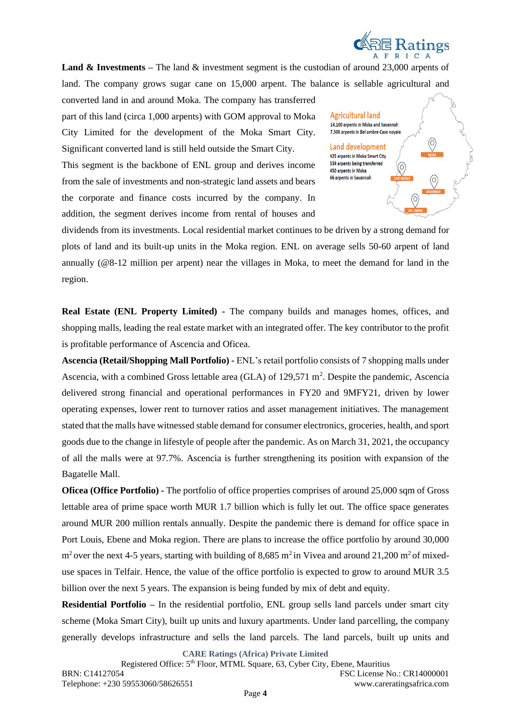

**Land & Investments** – The land & investment segment is the custodian of around 23,000 arpents of land. The company grows sugar cane on 15,000 arpent. The balance is sellable agricultural and

converted land in and around Moka. The company has transferred part of this land (circa 1,000 arpents) with GOM approval to Moka City Limited for the development of the Moka Smart City. Significant converted land is still held outside the Smart City.

This segment is the backbone of ENL group and derives income from the sale of investments and non-strategic land assets and bears the corporate and finance costs incurred by the company. In addition, the segment derives income from rental of houses and

**Agricultural land** 14,100 arpents in Moka and Savannah 7,500 arpents in Bel ombre-Case noyale **Land development** 425 arpents in Moka Smart City 534 arpents being transferred 450 arpents in Moka 66 arpents in Savannah

dividends from its investments. Local residential market continues to be driven by a strong demand for plots of land and its built-up units in the Moka region. ENL on average sells 50-60 arpent of land annually (@8-12 million per arpent) near the villages in Moka, to meet the demand for land in the region.

**Real Estate (ENL Property Limited) -** The company builds and manages homes, offices, and shopping malls, leading the real estate market with an integrated offer. The key contributor to the profit is profitable performance of Ascencia and Oficea.

**Ascencia (Retail/Shopping Mall Portfolio) -** ENL's retail portfolio consists of 7 shopping malls under Ascencia, with a combined Gross lettable area (GLA) of 129,571 m<sup>2</sup>. Despite the pandemic, Ascencia delivered strong financial and operational performances in FY20 and 9MFY21, driven by lower operating expenses, lower rent to turnover ratios and asset management initiatives. The management stated that the malls have witnessed stable demand for consumer electronics, groceries, health, and sport goods due to the change in lifestyle of people after the pandemic. As on March 31, 2021, the occupancy of all the malls were at 97.7%. Ascencia is further strengthening its position with expansion of the Bagatelle Mall.

**Oficea (Office Portfolio) -** The portfolio of office properties comprises of around 25,000 sqm of Gross lettable area of prime space worth MUR 1.7 billion which is fully let out. The office space generates around MUR 200 million rentals annually. Despite the pandemic there is demand for office space in Port Louis, Ebene and Moka region. There are plans to increase the office portfolio by around 30,000  $m<sup>2</sup>$  over the next 4-5 years, starting with building of 8,685 m<sup>2</sup> in Vivea and around 21,200 m<sup>2</sup> of mixeduse spaces in Telfair. Hence, the value of the office portfolio is expected to grow to around MUR 3.5 billion over the next 5 years. The expansion is being funded by mix of debt and equity.

**Residential Portfolio –** In the residential portfolio, ENL group sells land parcels under smart city scheme (Moka Smart City), built up units and luxury apartments. Under land parcelling, the company generally develops infrastructure and sells the land parcels. The land parcels, built up units and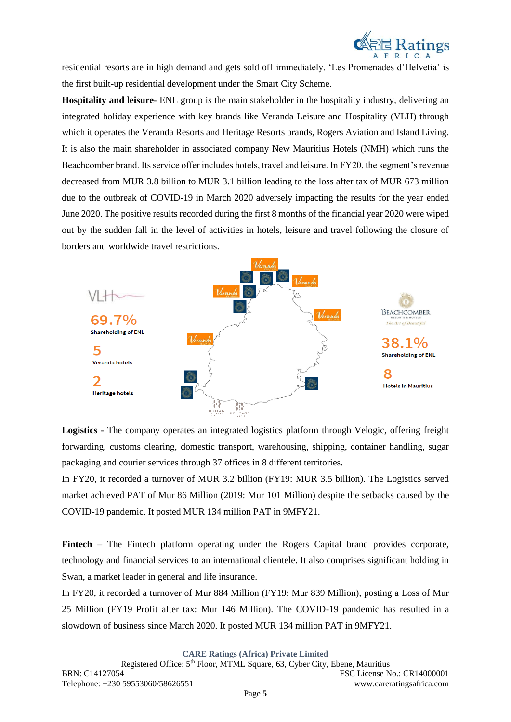

residential resorts are in high demand and gets sold off immediately. 'Les Promenades d'Helvetia' is the first built-up residential development under the Smart City Scheme.

**Hospitality and leisure-** ENL group is the main stakeholder in the hospitality industry, delivering an integrated holiday experience with key brands like Veranda Leisure and Hospitality (VLH) through which it operates the Veranda Resorts and Heritage Resorts brands, Rogers Aviation and Island Living. It is also the main shareholder in associated company New Mauritius Hotels (NMH) which runs the Beachcomber brand. Its service offer includes hotels, travel and leisure. In FY20, the segment's revenue decreased from MUR 3.8 billion to MUR 3.1 billion leading to the loss after tax of MUR 673 million due to the outbreak of COVID-19 in March 2020 adversely impacting the results for the year ended June 2020. The positive results recorded during the first 8 months of the financial year 2020 were wiped out by the sudden fall in the level of activities in hotels, leisure and travel following the closure of borders and worldwide travel restrictions.



**Logistics -** The company operates an integrated logistics platform through Velogic, offering freight forwarding, customs clearing, domestic transport, warehousing, shipping, container handling, sugar packaging and courier services through 37 offices in 8 different territories.

In FY20, it recorded a turnover of MUR 3.2 billion (FY19: MUR 3.5 billion). The Logistics served market achieved PAT of Mur 86 Million (2019: Mur 101 Million) despite the setbacks caused by the COVID-19 pandemic. It posted MUR 134 million PAT in 9MFY21.

**Fintech –** The Fintech platform operating under the Rogers Capital brand provides corporate, technology and financial services to an international clientele. It also comprises significant holding in Swan, a market leader in general and life insurance.

In FY20, it recorded a turnover of Mur 884 Million (FY19: Mur 839 Million), posting a Loss of Mur 25 Million (FY19 Profit after tax: Mur 146 Million). The COVID-19 pandemic has resulted in a slowdown of business since March 2020. It posted MUR 134 million PAT in 9MFY21.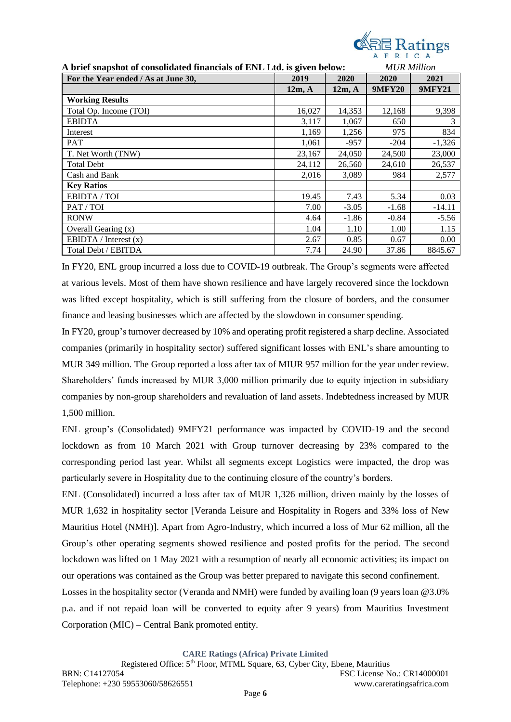

| A brief snapshot of consolidated financials of ENL Ltd. is given below: |        |         | <b>MUR</b> Million |               |
|-------------------------------------------------------------------------|--------|---------|--------------------|---------------|
| For the Year ended / As at June 30,                                     | 2019   | 2020    | 2020               | 2021          |
|                                                                         | 12m, A | 12m, A  | <b>9MFY20</b>      | <b>9MFY21</b> |
| <b>Working Results</b>                                                  |        |         |                    |               |
| Total Op. Income (TOI)                                                  | 16,027 | 14,353  | 12,168             | 9,398         |
| <b>EBIDTA</b>                                                           | 3,117  | 1,067   | 650                | 3             |
| Interest                                                                | 1,169  | 1,256   | 975                | 834           |
| <b>PAT</b>                                                              | 1,061  | $-957$  | $-204$             | $-1,326$      |
| T. Net Worth (TNW)                                                      | 23,167 | 24,050  | 24,500             | 23,000        |
| <b>Total Debt</b>                                                       | 24,112 | 26,560  | 24,610             | 26,537        |
| Cash and Bank                                                           | 2,016  | 3,089   | 984                | 2,577         |
| <b>Key Ratios</b>                                                       |        |         |                    |               |
| EBIDTA / TOI                                                            | 19.45  | 7.43    | 5.34               | 0.03          |
| PAT/TOI                                                                 | 7.00   | $-3.05$ | $-1.68$            | $-14.11$      |
| <b>RONW</b>                                                             | 4.64   | $-1.86$ | $-0.84$            | $-5.56$       |
| Overall Gearing (x)                                                     | 1.04   | 1.10    | 1.00               | 1.15          |
| EBIDTA / Interest $(x)$                                                 | 2.67   | 0.85    | 0.67               | 0.00          |
| Total Debt / EBITDA                                                     | 7.74   | 24.90   | 37.86              | 8845.67       |

In FY20, ENL group incurred a loss due to COVID-19 outbreak. The Group's segments were affected at various levels. Most of them have shown resilience and have largely recovered since the lockdown was lifted except hospitality, which is still suffering from the closure of borders, and the consumer finance and leasing businesses which are affected by the slowdown in consumer spending.

In FY20, group's turnover decreased by 10% and operating profit registered a sharp decline. Associated companies (primarily in hospitality sector) suffered significant losses with ENL's share amounting to MUR 349 million. The Group reported a loss after tax of MIUR 957 million for the year under review. Shareholders' funds increased by MUR 3,000 million primarily due to equity injection in subsidiary companies by non-group shareholders and revaluation of land assets. Indebtedness increased by MUR 1,500 million.

ENL group's (Consolidated) 9MFY21 performance was impacted by COVID-19 and the second lockdown as from 10 March 2021 with Group turnover decreasing by 23% compared to the corresponding period last year. Whilst all segments except Logistics were impacted, the drop was particularly severe in Hospitality due to the continuing closure of the country's borders.

ENL (Consolidated) incurred a loss after tax of MUR 1,326 million, driven mainly by the losses of MUR 1,632 in hospitality sector [Veranda Leisure and Hospitality in Rogers and 33% loss of New Mauritius Hotel (NMH)]. Apart from Agro-Industry, which incurred a loss of Mur 62 million, all the Group's other operating segments showed resilience and posted profits for the period. The second lockdown was lifted on 1 May 2021 with a resumption of nearly all economic activities; its impact on our operations was contained as the Group was better prepared to navigate this second confinement.

Losses in the hospitality sector (Veranda and NMH) were funded by availing loan (9 years loan @3.0% p.a. and if not repaid loan will be converted to equity after 9 years) from Mauritius Investment Corporation (MIC) – Central Bank promoted entity.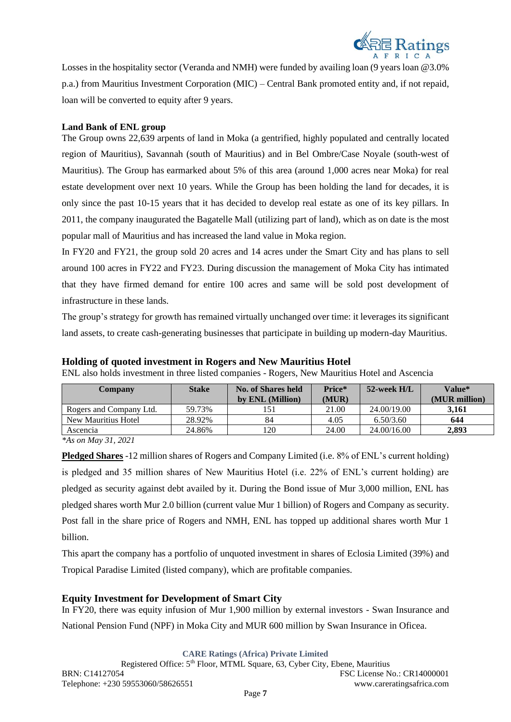

Losses in the hospitality sector (Veranda and NMH) were funded by availing loan (9 years loan @3.0% p.a.) from Mauritius Investment Corporation (MIC) – Central Bank promoted entity and, if not repaid, loan will be converted to equity after 9 years.

## **Land Bank of ENL group**

The Group owns 22,639 arpents of land in Moka (a gentrified, highly populated and centrally located region of Mauritius), Savannah (south of Mauritius) and in Bel Ombre/Case Noyale (south-west of Mauritius). The Group has earmarked about 5% of this area (around 1,000 acres near Moka) for real estate development over next 10 years. While the Group has been holding the land for decades, it is only since the past 10-15 years that it has decided to develop real estate as one of its key pillars. In 2011, the company inaugurated the Bagatelle Mall (utilizing part of land), which as on date is the most popular mall of Mauritius and has increased the land value in Moka region.

In FY20 and FY21, the group sold 20 acres and 14 acres under the Smart City and has plans to sell around 100 acres in FY22 and FY23. During discussion the management of Moka City has intimated that they have firmed demand for entire 100 acres and same will be sold post development of infrastructure in these lands.

The group's strategy for growth has remained virtually unchanged over time: it leverages its significant land assets, to create cash-generating businesses that participate in building up modern-day Mauritius.

| Company                 | <b>Stake</b> | No. of Shares held | Price* | 52-week H/L | <b>Value*</b> |
|-------------------------|--------------|--------------------|--------|-------------|---------------|
|                         |              | by ENL (Million)   | (MUR)  |             | (MUR million) |
| Rogers and Company Ltd. | 59.73%       |                    | 21.00  | 24.00/19.00 | 3.161         |
| New Mauritius Hotel     | 28.92%       | 84                 | 4.05   | 6.50/3.60   | 644           |
| Ascencia                | 24.86%       | 120                | 24.00  | 24.00/16.00 | 2.893         |

#### **Holding of quoted investment in Rogers and New Mauritius Hotel**

ENL also holds investment in three listed companies - Rogers, New Mauritius Hotel and Ascencia

*\*As on May 31, 2021*

**Pledged Shares** -12 million shares of Rogers and Company Limited (i.e. 8% of ENL's current holding) is pledged and 35 million shares of New Mauritius Hotel (i.e. 22% of ENL's current holding) are pledged as security against debt availed by it. During the Bond issue of Mur 3,000 million, ENL has pledged shares worth Mur 2.0 billion (current value Mur 1 billion) of Rogers and Company as security. Post fall in the share price of Rogers and NMH, ENL has topped up additional shares worth Mur 1 billion.

This apart the company has a portfolio of unquoted investment in shares of Eclosia Limited (39%) and Tropical Paradise Limited (listed company), which are profitable companies.

## **Equity Investment for Development of Smart City**

In FY20, there was equity infusion of Mur 1,900 million by external investors - Swan Insurance and National Pension Fund (NPF) in Moka City and MUR 600 million by Swan Insurance in Oficea.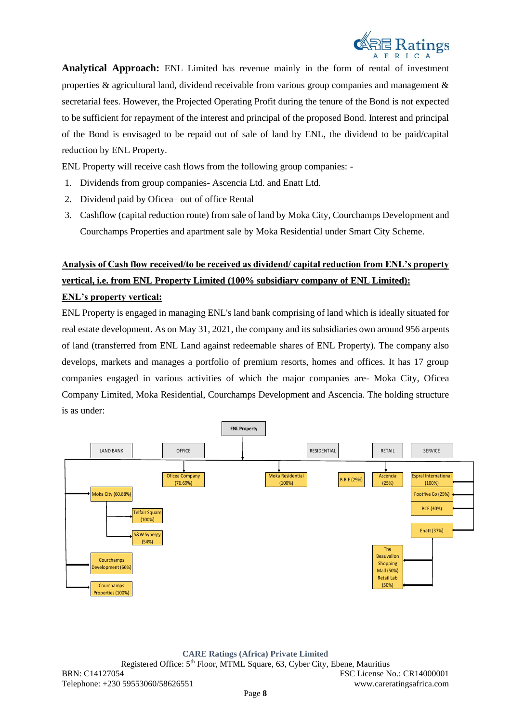

**Analytical Approach:** ENL Limited has revenue mainly in the form of rental of investment properties  $\&$  agricultural land, dividend receivable from various group companies and management  $\&$ secretarial fees. However, the Projected Operating Profit during the tenure of the Bond is not expected to be sufficient for repayment of the interest and principal of the proposed Bond. Interest and principal of the Bond is envisaged to be repaid out of sale of land by ENL, the dividend to be paid/capital reduction by ENL Property.

ENL Property will receive cash flows from the following group companies: -

- 1. Dividends from group companies- Ascencia Ltd. and Enatt Ltd.
- 2. Dividend paid by Oficea– out of office Rental
- 3. Cashflow (capital reduction route) from sale of land by Moka City, Courchamps Development and Courchamps Properties and apartment sale by Moka Residential under Smart City Scheme.

# **Analysis of Cash flow received/to be received as dividend/ capital reduction from ENL's property vertical, i.e. from ENL Property Limited (100% subsidiary company of ENL Limited):**

## **ENL's property vertical:**

ENL Property is engaged in managing ENL's land bank comprising of land which is ideally situated for real estate development. As on May 31, 2021, the company and its subsidiaries own around 956 arpents of land (transferred from ENL Land against redeemable shares of ENL Property). The company also develops, markets and manages a portfolio of premium resorts, homes and offices. It has 17 group companies engaged in various activities of which the major companies are- Moka City, Oficea Company Limited, Moka Residential, Courchamps Development and Ascencia. The holding structure is as under:

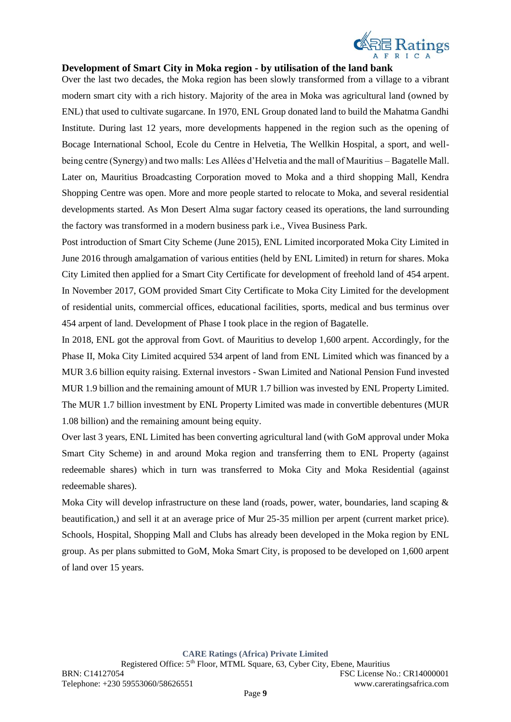

## **Development of Smart City in Moka region - by utilisation of the land bank**

Over the last two decades, the Moka region has been slowly transformed from a village to a vibrant modern smart city with a rich history. Majority of the area in Moka was agricultural land (owned by ENL) that used to cultivate sugarcane. In 1970, ENL Group donated land to build the Mahatma Gandhi Institute. During last 12 years, more developments happened in the region such as the opening of Bocage International School, Ecole du Centre in Helvetia, The Wellkin Hospital, a sport, and wellbeing centre (Synergy) and two malls: Les Allées d'Helvetia and the mall of Mauritius – Bagatelle Mall. Later on, Mauritius Broadcasting Corporation moved to Moka and a third shopping Mall, Kendra Shopping Centre was open. More and more people started to relocate to Moka, and several residential developments started. As Mon Desert Alma sugar factory ceased its operations, the land surrounding the factory was transformed in a modern business park i.e., Vivea Business Park.

Post introduction of Smart City Scheme (June 2015), ENL Limited incorporated Moka City Limited in June 2016 through amalgamation of various entities (held by ENL Limited) in return for shares. Moka City Limited then applied for a Smart City Certificate for development of freehold land of 454 arpent. In November 2017, GOM provided Smart City Certificate to Moka City Limited for the development of residential units, commercial offices, educational facilities, sports, medical and bus terminus over 454 arpent of land. Development of Phase I took place in the region of Bagatelle.

In 2018, ENL got the approval from Govt. of Mauritius to develop 1,600 arpent. Accordingly, for the Phase II, Moka City Limited acquired 534 arpent of land from ENL Limited which was financed by a MUR 3.6 billion equity raising. External investors - Swan Limited and National Pension Fund invested MUR 1.9 billion and the remaining amount of MUR 1.7 billion was invested by ENL Property Limited. The MUR 1.7 billion investment by ENL Property Limited was made in convertible debentures (MUR 1.08 billion) and the remaining amount being equity.

Over last 3 years, ENL Limited has been converting agricultural land (with GoM approval under Moka Smart City Scheme) in and around Moka region and transferring them to ENL Property (against redeemable shares) which in turn was transferred to Moka City and Moka Residential (against redeemable shares).

Moka City will develop infrastructure on these land (roads, power, water, boundaries, land scaping & beautification,) and sell it at an average price of Mur 25-35 million per arpent (current market price). Schools, Hospital, Shopping Mall and Clubs has already been developed in the Moka region by ENL group. As per plans submitted to GoM, Moka Smart City, is proposed to be developed on 1,600 arpent of land over 15 years.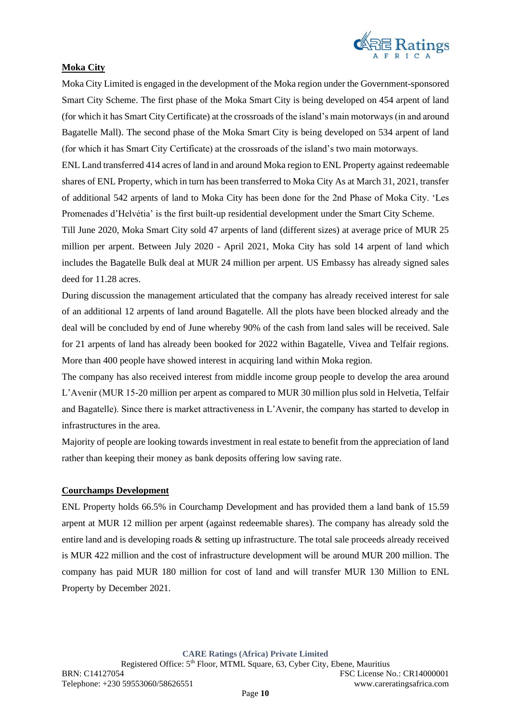

## **Moka City**

Moka City Limited is engaged in the development of the Moka region under the Government-sponsored Smart City Scheme. The first phase of the Moka Smart City is being developed on 454 arpent of land (for which it has Smart City Certificate) at the crossroads of the island's main motorways (in and around Bagatelle Mall). The second phase of the Moka Smart City is being developed on 534 arpent of land (for which it has Smart City Certificate) at the crossroads of the island's two main motorways.

ENL Land transferred 414 acres of land in and around Moka region to ENL Property against redeemable shares of ENL Property, which in turn has been transferred to Moka City As at March 31, 2021, transfer of additional 542 arpents of land to Moka City has been done for the 2nd Phase of Moka City. 'Les Promenades d'Helvétia' is the first built-up residential development under the Smart City Scheme.

Till June 2020, Moka Smart City sold 47 arpents of land (different sizes) at average price of MUR 25 million per arpent. Between July 2020 - April 2021, Moka City has sold 14 arpent of land which includes the Bagatelle Bulk deal at MUR 24 million per arpent. US Embassy has already signed sales deed for 11.28 acres.

During discussion the management articulated that the company has already received interest for sale of an additional 12 arpents of land around Bagatelle. All the plots have been blocked already and the deal will be concluded by end of June whereby 90% of the cash from land sales will be received. Sale for 21 arpents of land has already been booked for 2022 within Bagatelle, Vivea and Telfair regions. More than 400 people have showed interest in acquiring land within Moka region.

The company has also received interest from middle income group people to develop the area around L'Avenir (MUR 15-20 million per arpent as compared to MUR 30 million plus sold in Helvetia, Telfair and Bagatelle). Since there is market attractiveness in L'Avenir, the company has started to develop in infrastructures in the area.

Majority of people are looking towards investment in real estate to benefit from the appreciation of land rather than keeping their money as bank deposits offering low saving rate.

#### **Courchamps Development**

ENL Property holds 66.5% in Courchamp Development and has provided them a land bank of 15.59 arpent at MUR 12 million per arpent (against redeemable shares). The company has already sold the entire land and is developing roads & setting up infrastructure. The total sale proceeds already received is MUR 422 million and the cost of infrastructure development will be around MUR 200 million. The company has paid MUR 180 million for cost of land and will transfer MUR 130 Million to ENL Property by December 2021.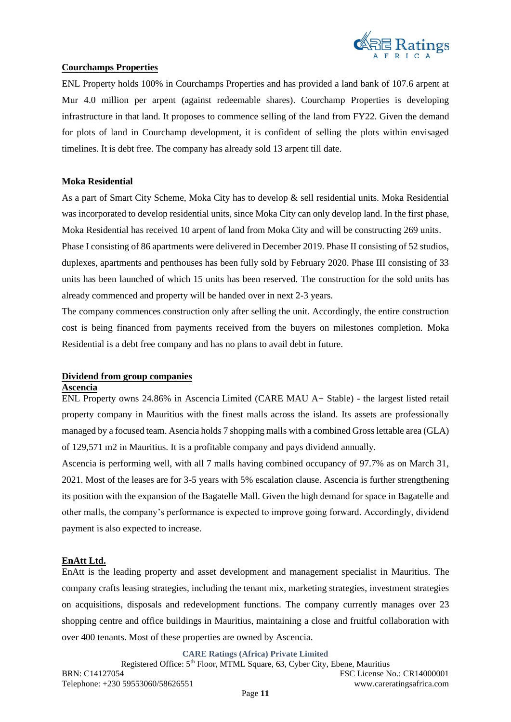

## **Courchamps Properties**

ENL Property holds 100% in Courchamps Properties and has provided a land bank of 107.6 arpent at Mur 4.0 million per arpent (against redeemable shares). Courchamp Properties is developing infrastructure in that land. It proposes to commence selling of the land from FY22. Given the demand for plots of land in Courchamp development, it is confident of selling the plots within envisaged timelines. It is debt free. The company has already sold 13 arpent till date.

## **Moka Residential**

As a part of Smart City Scheme, Moka City has to develop & sell residential units. Moka Residential was incorporated to develop residential units, since Moka City can only develop land. In the first phase, Moka Residential has received 10 arpent of land from Moka City and will be constructing 269 units. Phase I consisting of 86 apartments were delivered in December 2019. Phase II consisting of 52 studios, duplexes, apartments and penthouses has been fully sold by February 2020. Phase III consisting of 33

units has been launched of which 15 units has been reserved. The construction for the sold units has already commenced and property will be handed over in next 2-3 years.

The company commences construction only after selling the unit. Accordingly, the entire construction cost is being financed from payments received from the buyers on milestones completion. Moka Residential is a debt free company and has no plans to avail debt in future.

## **Dividend from group companies**

#### **Ascencia**

ENL Property owns 24.86% in Ascencia Limited (CARE MAU A+ Stable) - the largest listed retail property company in Mauritius with the finest malls across the island. Its assets are professionally managed by a focused team. Asencia holds 7 shopping malls with a combined Gross lettable area (GLA) of 129,571 m2 in Mauritius. It is a profitable company and pays dividend annually.

Ascencia is performing well, with all 7 malls having combined occupancy of 97.7% as on March 31, 2021. Most of the leases are for 3-5 years with 5% escalation clause. Ascencia is further strengthening its position with the expansion of the Bagatelle Mall. Given the high demand for space in Bagatelle and other malls, the company's performance is expected to improve going forward. Accordingly, dividend payment is also expected to increase.

#### **EnAtt Ltd.**

EnAtt is the leading property and asset development and management specialist in Mauritius. The company crafts leasing strategies, including the tenant mix, marketing strategies, investment strategies on acquisitions, disposals and redevelopment functions. The company currently manages over 23 shopping centre and office buildings in Mauritius, maintaining a close and fruitful collaboration with over 400 tenants. Most of these properties are owned by Ascencia.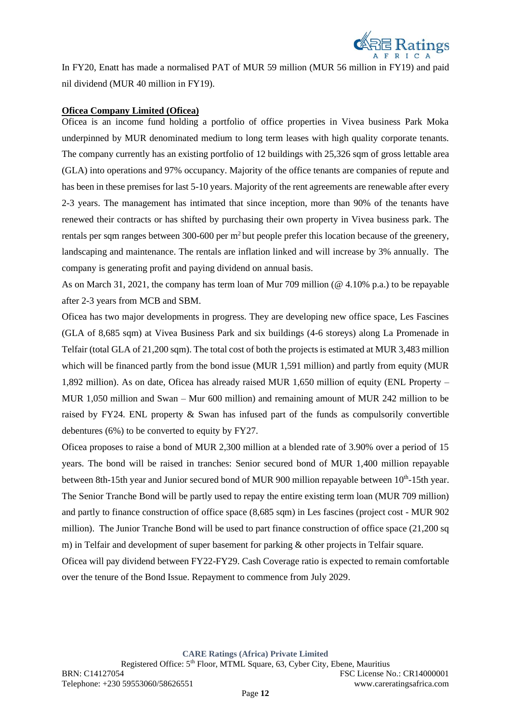

In FY20, Enatt has made a normalised PAT of MUR 59 million (MUR 56 million in FY19) and paid nil dividend (MUR 40 million in FY19).

#### **Oficea Company Limited (Oficea)**

Oficea is an income fund holding a portfolio of office properties in Vivea business Park Moka underpinned by MUR denominated medium to long term leases with high quality corporate tenants. The company currently has an existing portfolio of 12 buildings with 25,326 sqm of gross lettable area (GLA) into operations and 97% occupancy. Majority of the office tenants are companies of repute and has been in these premises for last 5-10 years. Majority of the rent agreements are renewable after every 2-3 years. The management has intimated that since inception, more than 90% of the tenants have renewed their contracts or has shifted by purchasing their own property in Vivea business park. The rentals per sqm ranges between 300-600 per m<sup>2</sup> but people prefer this location because of the greenery, landscaping and maintenance. The rentals are inflation linked and will increase by 3% annually. The company is generating profit and paying dividend on annual basis.

As on March 31, 2021, the company has term loan of Mur 709 million (@ 4.10% p.a.) to be repayable after 2-3 years from MCB and SBM.

Oficea has two major developments in progress. They are developing new office space, Les Fascines (GLA of 8,685 sqm) at Vivea Business Park and six buildings (4-6 storeys) along La Promenade in Telfair (total GLA of 21,200 sqm). The total cost of both the projects is estimated at MUR 3,483 million which will be financed partly from the bond issue (MUR 1,591 million) and partly from equity (MUR 1,892 million). As on date, Oficea has already raised MUR 1,650 million of equity (ENL Property – MUR 1,050 million and Swan – Mur 600 million) and remaining amount of MUR 242 million to be raised by FY24. ENL property & Swan has infused part of the funds as compulsorily convertible debentures (6%) to be converted to equity by FY27.

Oficea proposes to raise a bond of MUR 2,300 million at a blended rate of 3.90% over a period of 15 years. The bond will be raised in tranches: Senior secured bond of MUR 1,400 million repayable between 8th-15th year and Junior secured bond of MUR 900 million repayable between 10<sup>th</sup>-15th year. The Senior Tranche Bond will be partly used to repay the entire existing term loan (MUR 709 million) and partly to finance construction of office space (8,685 sqm) in Les fascines (project cost - MUR 902 million). The Junior Tranche Bond will be used to part finance construction of office space (21,200 sq m) in Telfair and development of super basement for parking & other projects in Telfair square.

Oficea will pay dividend between FY22-FY29. Cash Coverage ratio is expected to remain comfortable over the tenure of the Bond Issue. Repayment to commence from July 2029.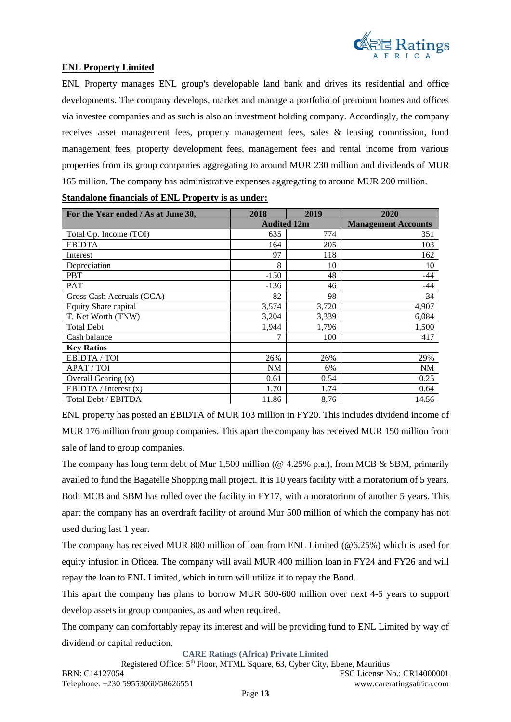

## **ENL Property Limited**

ENL Property manages ENL group's developable land bank and drives its residential and office developments. The company develops, market and manage a portfolio of premium homes and offices via investee companies and as such is also an investment holding company. Accordingly, the company receives asset management fees, property management fees, sales & leasing commission, fund management fees, property development fees, management fees and rental income from various properties from its group companies aggregating to around MUR 230 million and dividends of MUR 165 million. The company has administrative expenses aggregating to around MUR 200 million.

| For the Year ended / As at June 30, | 2018               | 2019  | 2020                       |
|-------------------------------------|--------------------|-------|----------------------------|
|                                     | <b>Audited 12m</b> |       | <b>Management Accounts</b> |
| Total Op. Income (TOI)              | 635                | 774   | 351                        |
| <b>EBIDTA</b>                       | 164                | 205   | 103                        |
| Interest                            | 97                 | 118   | 162                        |
| Depreciation                        | 8                  | 10    | 10                         |
| <b>PBT</b>                          | $-150$             | 48    | $-44$                      |
| <b>PAT</b>                          | $-136$             | 46    | $-44$                      |
| Gross Cash Accruals (GCA)           | 82                 | 98    | $-34$                      |
| <b>Equity Share capital</b>         | 3,574              | 3,720 | 4,907                      |
| T. Net Worth (TNW)                  | 3,204              | 3,339 | 6,084                      |
| <b>Total Debt</b>                   | 1,944              | 1,796 | 1,500                      |
| Cash balance                        |                    | 100   | 417                        |
| <b>Key Ratios</b>                   |                    |       |                            |
| EBIDTA / TOI                        | 26%                | 26%   | 29%                        |
| APAT / TOI                          | NM                 | 6%    | <b>NM</b>                  |
| Overall Gearing (x)                 | 0.61               | 0.54  | 0.25                       |
| EBIDTA / Interest $(x)$             | 1.70               | 1.74  | 0.64                       |
| Total Debt / EBITDA                 | 11.86              | 8.76  | 14.56                      |

| <b>Standalone financials of ENL Property is as under:</b> |
|-----------------------------------------------------------|
|-----------------------------------------------------------|

ENL property has posted an EBIDTA of MUR 103 million in FY20. This includes dividend income of MUR 176 million from group companies. This apart the company has received MUR 150 million from sale of land to group companies.

The company has long term debt of Mur 1,500 million ( $@$  4.25% p.a.), from MCB & SBM, primarily availed to fund the Bagatelle Shopping mall project. It is 10 years facility with a moratorium of 5 years. Both MCB and SBM has rolled over the facility in FY17, with a moratorium of another 5 years. This apart the company has an overdraft facility of around Mur 500 million of which the company has not used during last 1 year.

The company has received MUR 800 million of loan from ENL Limited (@6.25%) which is used for equity infusion in Oficea. The company will avail MUR 400 million loan in FY24 and FY26 and will repay the loan to ENL Limited, which in turn will utilize it to repay the Bond.

This apart the company has plans to borrow MUR 500-600 million over next 4-5 years to support develop assets in group companies, as and when required.

The company can comfortably repay its interest and will be providing fund to ENL Limited by way of dividend or capital reduction.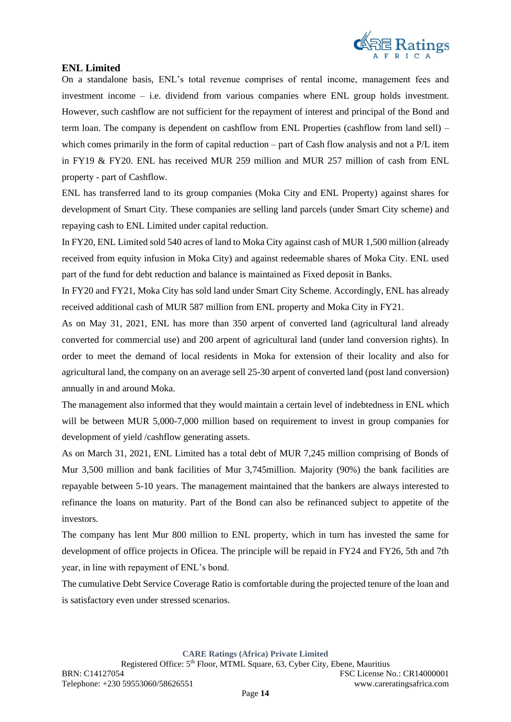

## **ENL Limited**

On a standalone basis, ENL's total revenue comprises of rental income, management fees and investment income – i.e. dividend from various companies where ENL group holds investment. However, such cashflow are not sufficient for the repayment of interest and principal of the Bond and term loan. The company is dependent on cashflow from ENL Properties (cashflow from land sell) – which comes primarily in the form of capital reduction – part of Cash flow analysis and not a P/L item in FY19 & FY20. ENL has received MUR 259 million and MUR 257 million of cash from ENL property - part of Cashflow.

ENL has transferred land to its group companies (Moka City and ENL Property) against shares for development of Smart City. These companies are selling land parcels (under Smart City scheme) and repaying cash to ENL Limited under capital reduction.

In FY20, ENL Limited sold 540 acres of land to Moka City against cash of MUR 1,500 million (already received from equity infusion in Moka City) and against redeemable shares of Moka City. ENL used part of the fund for debt reduction and balance is maintained as Fixed deposit in Banks.

In FY20 and FY21, Moka City has sold land under Smart City Scheme. Accordingly, ENL has already received additional cash of MUR 587 million from ENL property and Moka City in FY21.

As on May 31, 2021, ENL has more than 350 arpent of converted land (agricultural land already converted for commercial use) and 200 arpent of agricultural land (under land conversion rights). In order to meet the demand of local residents in Moka for extension of their locality and also for agricultural land, the company on an average sell 25-30 arpent of converted land (post land conversion) annually in and around Moka.

The management also informed that they would maintain a certain level of indebtedness in ENL which will be between MUR 5,000-7,000 million based on requirement to invest in group companies for development of yield /cashflow generating assets.

As on March 31, 2021, ENL Limited has a total debt of MUR 7,245 million comprising of Bonds of Mur 3,500 million and bank facilities of Mur 3,745million. Majority (90%) the bank facilities are repayable between 5-10 years. The management maintained that the bankers are always interested to refinance the loans on maturity. Part of the Bond can also be refinanced subject to appetite of the investors.

The company has lent Mur 800 million to ENL property, which in turn has invested the same for development of office projects in Oficea. The principle will be repaid in FY24 and FY26, 5th and 7th year, in line with repayment of ENL's bond.

The cumulative Debt Service Coverage Ratio is comfortable during the projected tenure of the loan and is satisfactory even under stressed scenarios.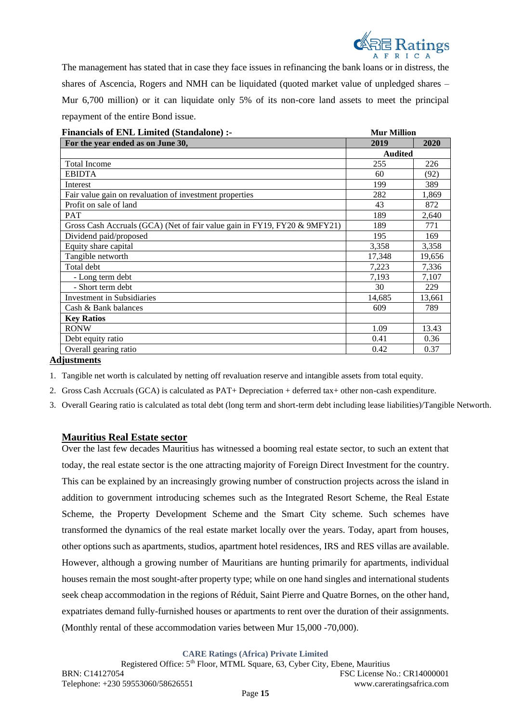

The management has stated that in case they face issues in refinancing the bank loans or in distress, the shares of Ascencia, Rogers and NMH can be liquidated (quoted market value of unpledged shares – Mur 6,700 million) or it can liquidate only 5% of its non-core land assets to meet the principal repayment of the entire Bond issue.

| <b>Financials of ENL Limited (Standalone):-</b>                           | <b>Mur Million</b> |        |  |
|---------------------------------------------------------------------------|--------------------|--------|--|
| For the year ended as on June 30,                                         | 2019               | 2020   |  |
|                                                                           | <b>Audited</b>     |        |  |
| <b>Total Income</b>                                                       | 255                | 226    |  |
| <b>EBIDTA</b>                                                             | 60                 | (92)   |  |
| Interest                                                                  | 199                | 389    |  |
| Fair value gain on revaluation of investment properties                   | 282                | 1,869  |  |
| Profit on sale of land                                                    | 43                 | 872    |  |
| <b>PAT</b>                                                                | 189                | 2,640  |  |
| Gross Cash Accruals (GCA) (Net of fair value gain in FY19, FY20 & 9MFY21) | 189                | 771    |  |
| Dividend paid/proposed                                                    | 195                | 169    |  |
| Equity share capital                                                      | 3,358              | 3,358  |  |
| Tangible networth                                                         | 17,348             | 19,656 |  |
| Total debt                                                                | 7,223              | 7,336  |  |
| - Long term debt                                                          | 7,193              | 7,107  |  |
| - Short term debt                                                         | 30                 | 229    |  |
| Investment in Subsidiaries                                                | 14,685             | 13,661 |  |
| Cash & Bank balances                                                      | 609                | 789    |  |
| <b>Key Ratios</b>                                                         |                    |        |  |
| <b>RONW</b>                                                               | 1.09               | 13.43  |  |
| Debt equity ratio                                                         | 0.41               | 0.36   |  |
| Overall gearing ratio                                                     | 0.42               | 0.37   |  |

**Adjustments**

1. Tangible net worth is calculated by netting off revaluation reserve and intangible assets from total equity.

2. Gross Cash Accruals (GCA) is calculated as PAT+ Depreciation + deferred tax+ other non-cash expenditure.

3. Overall Gearing ratio is calculated as total debt (long term and short-term debt including lease liabilities)/Tangible Networth.

#### **Mauritius Real Estate sector**

Over the last few decades Mauritius has witnessed a booming real estate sector, to such an extent that today, the real estate sector is the one attracting majority of Foreign Direct Investment for the country. This can be explained by an increasingly growing number of construction projects across the island in addition to government introducing schemes such as the Integrated Resort Scheme, the Real Estate Scheme, the Property Development Scheme and the Smart City scheme. Such schemes have transformed the dynamics of the real estate market locally over the years. Today, apart from houses, other options such as apartments, studios, apartment hotel residences, [IRS](https://www.lexpressproperty.com/en/news-advice/invest/our-files/buying-an-irs-unit/) and [RES](https://www.lexpressproperty.com/en/news-advice/invest/our-files/buying-an-res/) villas are available. However, although a growing number of Mauritians are hunting primarily for apartments, individual houses remain the most sought-after property type; while on one hand singles and international students seek cheap accommodation in the regions of Réduit, Saint Pierre and Quatre Bornes, on the other hand, expatriates demand fully-furnished houses or apartments to rent over the duration of their assignments. (Monthly rental of these accommodation varies between Mur 15,000 -70,000).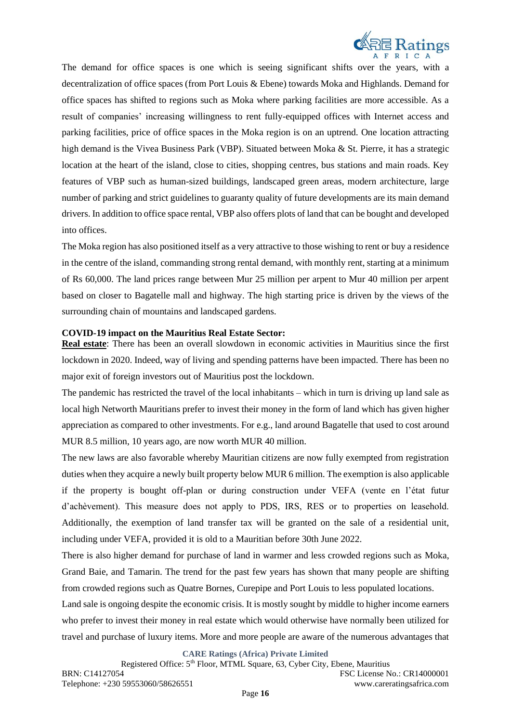

The demand for office spaces is one which is seeing significant shifts over the years, with a decentralization of office spaces (from Port Louis & Ebene) towards Moka and Highlands. Demand for office spaces has shifted to regions such as Moka where parking facilities are more accessible. As a result of companies' increasing willingness to rent fully-equipped offices with Internet access and parking facilities, price of office spaces in the Moka region is on an uptrend. One location attracting high demand is the Vivea Business Park (VBP). Situated between Moka & St. Pierre, it has a strategic location at the heart of the island, close to cities, shopping centres, bus stations and main roads. Key features of VBP such as human-sized buildings, landscaped green areas, modern architecture, large number of parking and strict guidelines to guaranty quality of future developments are its main demand drivers. In addition to office space rental, VBP also offers plots of land that can be bought and developed into offices.

The Moka region has also positioned itself as a very attractive to those wishing to rent or buy a residence in the centre of the island, commanding strong rental demand, with monthly rent, starting at a minimum of Rs 60,000. The land prices range between Mur 25 million per arpent to Mur 40 million per arpent based on closer to Bagatelle mall and highway. The high starting price is driven by the views of the surrounding chain of mountains and landscaped gardens.

#### **COVID-19 impact on the Mauritius Real Estate Sector:**

**Real estate**: There has been an overall slowdown in economic activities in Mauritius since the first lockdown in 2020. Indeed, way of living and spending patterns have been impacted. There has been no major exit of foreign investors out of Mauritius post the lockdown.

The pandemic has restricted the travel of the local inhabitants – which in turn is driving up land sale as local high Networth Mauritians prefer to invest their money in the form of land which has given higher appreciation as compared to other investments. For e.g., land around Bagatelle that used to cost around MUR 8.5 million, 10 years ago, are now worth MUR 40 million.

The new laws are also favorable whereby Mauritian citizens are now fully exempted from registration duties when they acquire a newly built property below MUR 6 million. The exemption is also applicable if the property is bought off-plan or during construction under VEFA (vente en l'état futur d'achèvement). This measure does not apply to PDS, IRS, RES or to properties on leasehold. Additionally, the exemption of land transfer tax will be granted on the sale of a residential unit, including under VEFA, provided it is old to a Mauritian before 30th June 2022.

There is also higher demand for purchase of land in warmer and less crowded regions such as Moka, Grand Baie, and Tamarin. The trend for the past few years has shown that many people are shifting from crowded regions such as Quatre Bornes, Curepipe and Port Louis to less populated locations.

Land sale is ongoing despite the economic crisis. It is mostly sought by middle to higher income earners who prefer to invest their money in real estate which would otherwise have normally been utilized for travel and purchase of luxury items. More and more people are aware of the numerous advantages that

**CARE Ratings (Africa) Private Limited**

Registered Office: 5<sup>th</sup> Floor, MTML Square, 63, Cyber City, Ebene, Mauritius BRN: C14127054 FSC License No.: CR14000001 Telephone: +230 59553060/58626551 www.careratingsafrica.com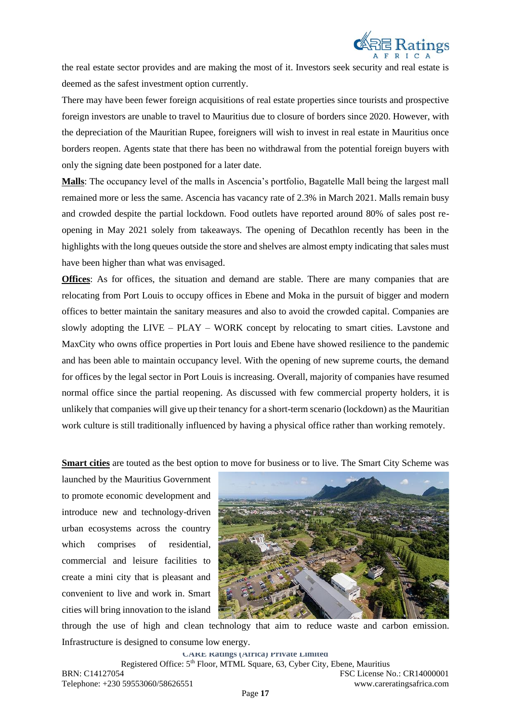

the real estate sector provides and are making the most of it. Investors seek security and real estate is deemed as the safest investment option currently.

There may have been fewer foreign acquisitions of real estate properties since tourists and prospective foreign investors are unable to travel to Mauritius due to closure of borders since 2020. However, with the depreciation of the Mauritian Rupee, foreigners will wish to invest in real estate in Mauritius once borders reopen. Agents state that there has been no withdrawal from the potential foreign buyers with only the signing date been postponed for a later date.

**Malls**: The occupancy level of the malls in Ascencia's portfolio, Bagatelle Mall being the largest mall remained more or less the same. Ascencia has vacancy rate of 2.3% in March 2021. Malls remain busy and crowded despite the partial lockdown. Food outlets have reported around 80% of sales post reopening in May 2021 solely from takeaways. The opening of Decathlon recently has been in the highlights with the long queues outside the store and shelves are almost empty indicating that sales must have been higher than what was envisaged.

**Offices**: As for offices, the situation and demand are stable. There are many companies that are relocating from Port Louis to occupy offices in Ebene and Moka in the pursuit of bigger and modern offices to better maintain the sanitary measures and also to avoid the crowded capital. Companies are slowly adopting the LIVE – PLAY – WORK concept by relocating to smart cities. Lavstone and MaxCity who owns office properties in Port louis and Ebene have showed resilience to the pandemic and has been able to maintain occupancy level. With the opening of new supreme courts, the demand for offices by the legal sector in Port Louis is increasing. Overall, majority of companies have resumed normal office since the partial reopening. As discussed with few commercial property holders, it is unlikely that companies will give up their tenancy for a short-term scenario (lockdown) as the Mauritian work culture is still traditionally influenced by having a physical office rather than working remotely.

**Smart cities** are touted as the best option to move for business or to live. The Smart City Scheme was

launched by the Mauritius Government to promote economic development and introduce new and technology-driven urban ecosystems across the country which comprises of residential, commercial and leisure facilities to create a mini city that is pleasant and convenient to live and work in. Smart cities will bring innovation to the island



through the use of high and clean technology that aim to reduce waste and carbon emission. Infrastructure is designed to consume low energy.

**CARE Ratings (Africa) Private Limited** Registered Office: 5th Floor, MTML Square, 63, Cyber City, Ebene, Mauritius BRN: C14127054 FSC License No.: CR14000001 Telephone: +230 59553060/58626551 www.careratingsafrica.com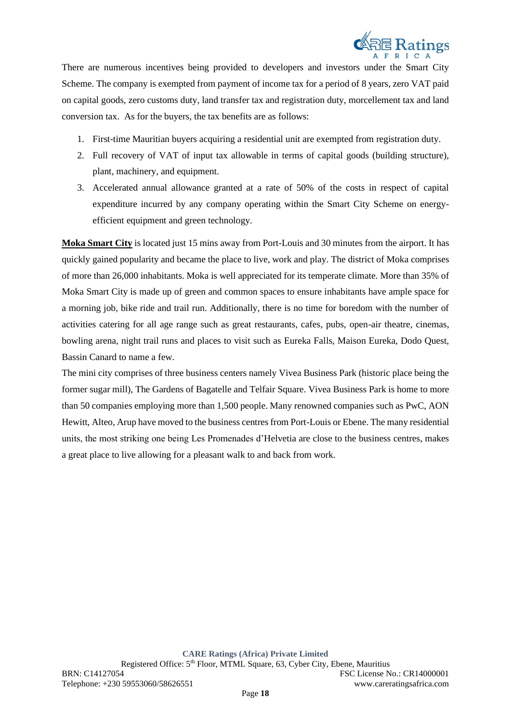

There are numerous incentives being provided to developers and investors under the Smart City Scheme. The company is exempted from payment of income tax for a period of 8 years, zero VAT paid on capital goods, zero customs duty, land transfer tax and registration duty, morcellement tax and land conversion tax. As for the buyers, the tax benefits are as follows:

- 1. First-time Mauritian buyers acquiring a residential unit are exempted from registration duty.
- 2. Full recovery of VAT of input tax allowable in terms of capital goods (building structure), plant, machinery, and equipment.
- 3. Accelerated annual allowance granted at a rate of 50% of the costs in respect of capital expenditure incurred by any company operating within the Smart City Scheme on energyefficient equipment and green technology.

**Moka Smart City** is located just 15 mins away from Port-Louis and 30 minutes from the airport. It has quickly gained popularity and became the place to live, work and play. The district of Moka comprises of more than 26,000 inhabitants. Moka is well appreciated for its temperate climate. More than 35% of Moka Smart City is made up of green and common spaces to ensure inhabitants have ample space for a morning job, bike ride and trail run. Additionally, there is no time for boredom with the number of activities catering for all age range such as great restaurants, cafes, pubs, open-air theatre, cinemas, bowling arena, night trail runs and places to visit such as Eureka Falls, Maison Eureka, Dodo Quest, Bassin Canard to name a few.

The mini city comprises of three business centers namely Vivea Business Park (historic place being the former sugar mill), The Gardens of Bagatelle and Telfair Square. Vivea Business Park is home to more than 50 companies employing more than 1,500 people. Many renowned companies such as PwC, AON Hewitt, Alteo, Arup have moved to the business centres from Port-Louis or Ebene. The many residential units, the most striking one being Les Promenades d'Helvetia are close to the business centres, makes a great place to live allowing for a pleasant walk to and back from work.